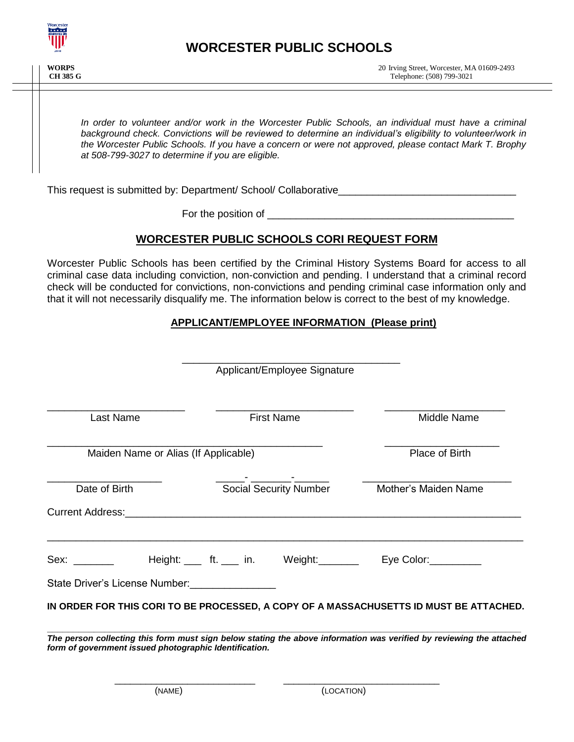

*In order to volunteer and/or work in the Worcester Public Schools, an individual must have a criminal background check. Convictions will be reviewed to determine an individual's eligibility to volunteer/work in the Worcester Public Schools. If you have a concern or were not approved, please contact Mark T. Brophy at 508-799-3027 to determine if you are eligible.* 

This request is submitted by: Department/ School/ Collaborative\_\_\_\_\_\_\_\_\_\_\_\_\_\_\_\_\_\_

For the position of

# **WORCESTER PUBLIC SCHOOLS CORI REQUEST FORM**

Worcester Public Schools has been certified by the Criminal History Systems Board for access to all criminal case data including conviction, non-conviction and pending. I understand that a criminal record check will be conducted for convictions, non-convictions and pending criminal case information only and that it will not necessarily disqualify me. The information below is correct to the best of my knowledge.

# **APPLICANT/EMPLOYEE INFORMATION (Please print)**

|                                                                                                                                                                                                                                |                   | Applicant/Employee Signature  |                                                                                                                      |
|--------------------------------------------------------------------------------------------------------------------------------------------------------------------------------------------------------------------------------|-------------------|-------------------------------|----------------------------------------------------------------------------------------------------------------------|
| <b>Last Name</b>                                                                                                                                                                                                               | <b>First Name</b> |                               | Middle Name                                                                                                          |
| Maiden Name or Alias (If Applicable)                                                                                                                                                                                           |                   |                               | Place of Birth                                                                                                       |
| Date of Birth                                                                                                                                                                                                                  |                   | <b>Social Security Number</b> | Mother's Maiden Name                                                                                                 |
| Sex: when the set of the set of the set of the set of the set of the set of the set of the set of the set of the set of the set of the set of the set of the set of the set of the set of the set of the set of the set of the |                   | Height: ft. in. Weight:       | Eye Color:__________                                                                                                 |
| State Driver's License Number:                                                                                                                                                                                                 |                   |                               |                                                                                                                      |
|                                                                                                                                                                                                                                |                   |                               | IN ORDER FOR THIS CORI TO BE PROCESSED, A COPY OF A MASSACHUSETTS ID MUST BE ATTACHED.                               |
| form of government issued photographic Identification.                                                                                                                                                                         |                   |                               | The person collecting this form must sign below stating the above information was verified by reviewing the attached |